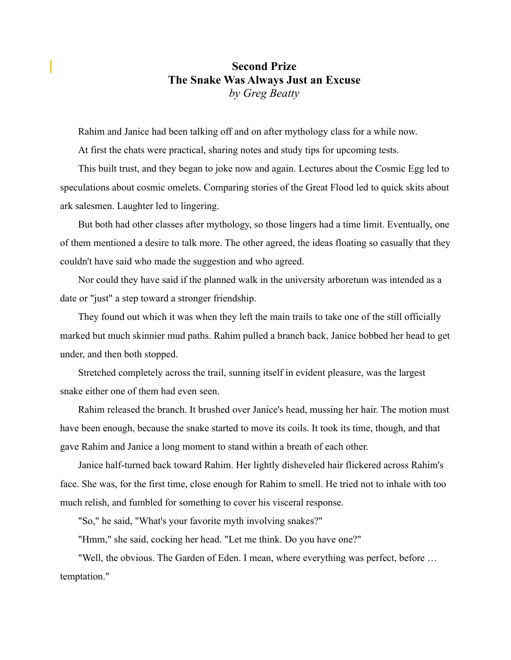## **Second Prize The Snake Was Always Just an Excuse**  *by Greg Beatty*

Rahim and Janice had been talking off and on after mythology class for a while now.

At first the chats were practical, sharing notes and study tips for upcoming tests.

This built trust, and they began to joke now and again. Lectures about the Cosmic Egg led to speculations about cosmic omelets. Comparing stories of the Great Flood led to quick skits about ark salesmen. Laughter led to lingering.

But both had other classes after mythology, so those lingers had a time limit. Eventually, one of them mentioned a desire to talk more. The other agreed, the ideas floating so casually that they couldn't have said who made the suggestion and who agreed.

Nor could they have said if the planned walk in the university arboretum was intended as a date or "just" a step toward a stronger friendship.

They found out which it was when they left the main trails to take one of the still officially marked but much skinnier mud paths. Rahim pulled a branch back, Janice bobbed her head to get under, and then both stopped.

Stretched completely across the trail, sunning itself in evident pleasure, was the largest snake either one of them had even seen.

Rahim released the branch. It brushed over Janice's head, mussing her hair. The motion must have been enough, because the snake started to move its coils. It took its time, though, and that gave Rahim and Janice a long moment to stand within a breath of each other.

Janice half-turned back toward Rahim. Her lightly disheveled hair flickered across Rahim's face. She was, for the first time, close enough for Rahim to smell. He tried not to inhale with too much relish, and fumbled for something to cover his visceral response.

"So," he said, "What's your favorite myth involving snakes?"

"Hmm," she said, cocking her head. "Let me think. Do you have one?"

"Well, the obvious. The Garden of Eden. I mean, where everything was perfect, before … temptation."